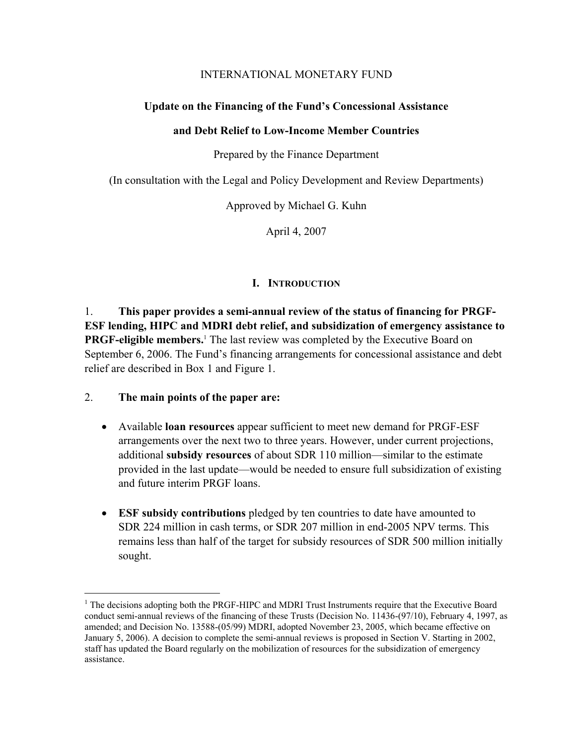# INTERNATIONAL MONETARY FUND

# **Update on the Financing of the Fund's Concessional Assistance**

# **and Debt Relief to Low-Income Member Countries**

Prepared by the Finance Department

(In consultation with the Legal and Policy Development and Review Departments)

Approved by Michael G. Kuhn

April 4, 2007

# **I. INTRODUCTION**

1. **This paper provides a semi-annual review of the status of financing for PRGF-ESF lending, HIPC and MDRI debt relief, and subsidization of emergency assistance to PRGF-eligible members.**<sup>1</sup> The last review was completed by the Executive Board on September 6, 2006. The Fund's financing arrangements for concessional assistance and debt relief are described in Box 1 and Figure 1.

# 2. **The main points of the paper are:**

 $\overline{a}$ 

- Available **loan resources** appear sufficient to meet new demand for PRGF-ESF arrangements over the next two to three years. However, under current projections, additional **subsidy resources** of about SDR 110 million—similar to the estimate provided in the last update—would be needed to ensure full subsidization of existing and future interim PRGF loans.
- **ESF subsidy contributions** pledged by ten countries to date have amounted to SDR 224 million in cash terms, or SDR 207 million in end-2005 NPV terms. This remains less than half of the target for subsidy resources of SDR 500 million initially sought.

<sup>&</sup>lt;sup>1</sup> The decisions adopting both the PRGF-HIPC and MDRI Trust Instruments require that the Executive Board conduct semi-annual reviews of the financing of these Trusts (Decision No. 11436-(97/10), February 4, 1997, as amended; and Decision No. 13588-(05/99) MDRI, adopted November 23, 2005, which became effective on January 5, 2006). A decision to complete the semi-annual reviews is proposed in Section V. Starting in 2002, staff has updated the Board regularly on the mobilization of resources for the subsidization of emergency assistance.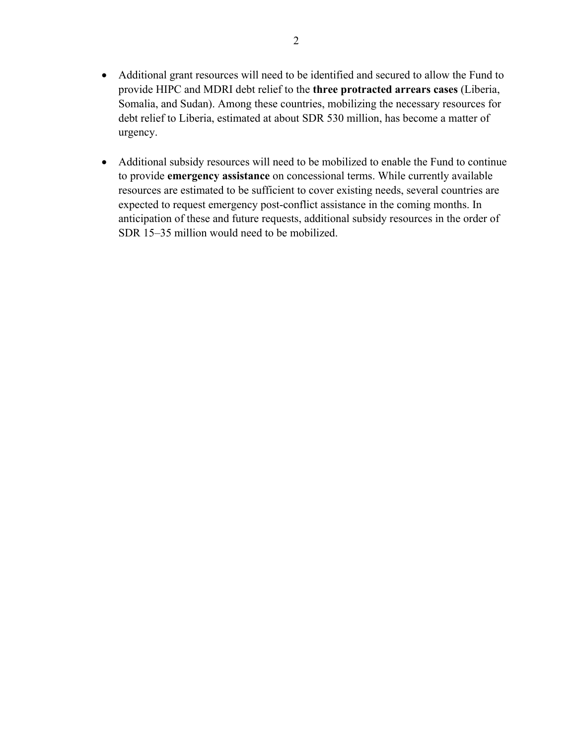- Additional grant resources will need to be identified and secured to allow the Fund to provide HIPC and MDRI debt relief to the **three protracted arrears cases** (Liberia, Somalia, and Sudan). Among these countries, mobilizing the necessary resources for debt relief to Liberia, estimated at about SDR 530 million, has become a matter of urgency.
- Additional subsidy resources will need to be mobilized to enable the Fund to continue to provide **emergency assistance** on concessional terms. While currently available resources are estimated to be sufficient to cover existing needs, several countries are expected to request emergency post-conflict assistance in the coming months. In anticipation of these and future requests, additional subsidy resources in the order of SDR 15–35 million would need to be mobilized.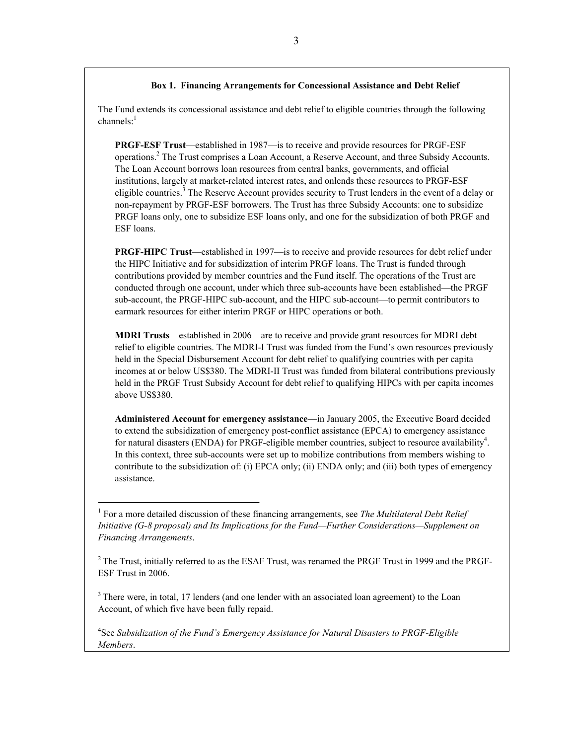#### **Box 1. Financing Arrangements for Concessional Assistance and Debt Relief**

The Fund extends its concessional assistance and debt relief to eligible countries through the following  $channels^{-1}$ 

**PRGF-ESF Trust**—established in 1987—is to receive and provide resources for PRGF-ESF operations.<sup>2</sup> The Trust comprises a Loan Account, a Reserve Account, and three Subsidy Accounts. The Loan Account borrows loan resources from central banks, governments, and official institutions, largely at market-related interest rates, and onlends these resources to PRGF-ESF eligible countries.<sup>3</sup> The Reserve Account provides security to Trust lenders in the event of a delay or non-repayment by PRGF-ESF borrowers. The Trust has three Subsidy Accounts: one to subsidize PRGF loans only, one to subsidize ESF loans only, and one for the subsidization of both PRGF and ESF loans.

**PRGF-HIPC Trust**—established in 1997—is to receive and provide resources for debt relief under the HIPC Initiative and for subsidization of interim PRGF loans. The Trust is funded through contributions provided by member countries and the Fund itself. The operations of the Trust are conducted through one account, under which three sub-accounts have been established—the PRGF sub-account, the PRGF-HIPC sub-account, and the HIPC sub-account—to permit contributors to earmark resources for either interim PRGF or HIPC operations or both.

**MDRI Trusts**—established in 2006—are to receive and provide grant resources for MDRI debt relief to eligible countries. The MDRI-I Trust was funded from the Fund's own resources previously held in the Special Disbursement Account for debt relief to qualifying countries with per capita incomes at or below US\$380. The MDRI-II Trust was funded from bilateral contributions previously held in the PRGF Trust Subsidy Account for debt relief to qualifying HIPCs with per capita incomes above US\$380.

**Administered Account for emergency assistance**—in January 2005, the Executive Board decided to extend the subsidization of emergency post-conflict assistance (EPCA) to emergency assistance for natural disasters (ENDA) for PRGF-eligible member countries, subject to resource availability<sup>4</sup>. In this context, three sub-accounts were set up to mobilize contributions from members wishing to contribute to the subsidization of: (i) EPCA only; (ii) ENDA only; and (iii) both types of emergency assistance.

 $2$  The Trust, initially referred to as the ESAF Trust, was renamed the PRGF Trust in 1999 and the PRGF-ESF Trust in 2006.

 $3$  There were, in total, 17 lenders (and one lender with an associated loan agreement) to the Loan Account, of which five have been fully repaid.

4 See *Subsidization of the Fund's Emergency Assistance for Natural Disasters to PRGF-Eligible Members*.

<sup>&</sup>lt;sup>1</sup> For a more detailed discussion of these financing arrangements, see *The Multilateral Debt Relief Initiative (G-8 proposal) and Its Implications for the Fund—Further Considerations—Supplement on Financing Arrangements*.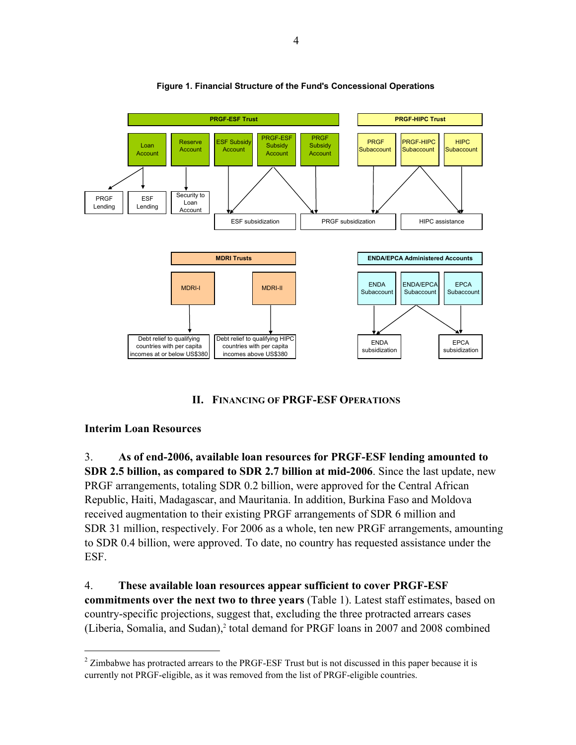

### **Figure 1. Financial Structure of the Fund's Concessional Operations**

### **II. FINANCING OF PRGF-ESF OPERATIONS**

### **Interim Loan Resources**

 $\overline{a}$ 

3. **As of end-2006, available loan resources for PRGF-ESF lending amounted to SDR 2.5 billion, as compared to SDR 2.7 billion at mid-2006**. Since the last update, new PRGF arrangements, totaling SDR 0.2 billion, were approved for the Central African Republic, Haiti, Madagascar, and Mauritania. In addition, Burkina Faso and Moldova received augmentation to their existing PRGF arrangements of SDR 6 million and SDR 31 million, respectively. For 2006 as a whole, ten new PRGF arrangements, amounting to SDR 0.4 billion, were approved. To date, no country has requested assistance under the ESF.

4. **These available loan resources appear sufficient to cover PRGF-ESF commitments over the next two to three years** (Table 1). Latest staff estimates, based on country-specific projections, suggest that, excluding the three protracted arrears cases (Liberia, Somalia, and Sudan),<sup>2</sup> total demand for PRGF loans in 2007 and 2008 combined

 $2$  Zimbabwe has protracted arrears to the PRGF-ESF Trust but is not discussed in this paper because it is currently not PRGF-eligible, as it was removed from the list of PRGF-eligible countries.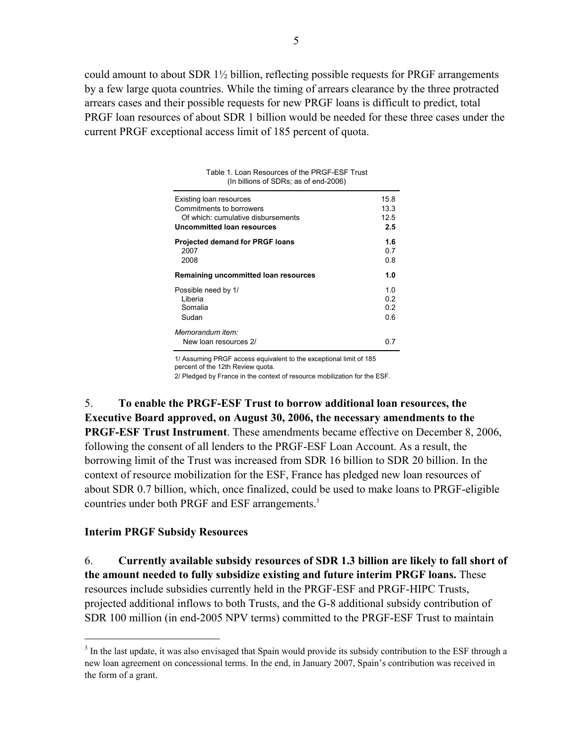could amount to about SDR 1½ billion, reflecting possible requests for PRGF arrangements by a few large quota countries. While the timing of arrears clearance by the three protracted arrears cases and their possible requests for new PRGF loans is difficult to predict, total PRGF loan resources of about SDR 1 billion would be needed for these three cases under the current PRGF exceptional access limit of 185 percent of quota.

| Table 1. Loan Resources of the PRGF-ESF Trust<br>(In billions of SDRs; as of end-2006) |      |
|----------------------------------------------------------------------------------------|------|
| Existing loan resources                                                                | 15.8 |
| Commitments to borrowers                                                               | 13.3 |
| Of which: cumulative disbursements                                                     | 12.5 |
| Uncommitted Ioan resources                                                             | 2.5  |
| <b>Projected demand for PRGF loans</b>                                                 | 1.6  |
| 2007                                                                                   | 0.7  |
| 2008                                                                                   | 0 8  |
| Remaining uncommitted loan resources                                                   | 1.0  |
| Possible need by 1/                                                                    | 1 0  |
| I iberia                                                                               | 02   |
| Somalia                                                                                | 02   |
| Sudan                                                                                  | 0 6  |
| Memorandum item:<br>New loan resources 2/                                              | በ 7  |

1/ Assuming PRGF access equivalent to the exceptional limit of 185 percent of the 12th Review quota.

2/ Pledged by France in the context of resource mobilization for the ESF.

5. **To enable the PRGF-ESF Trust to borrow additional loan resources, the Executive Board approved, on August 30, 2006, the necessary amendments to the PRGF-ESF Trust Instrument**. These amendments became effective on December 8, 2006, following the consent of all lenders to the PRGF-ESF Loan Account. As a result, the borrowing limit of the Trust was increased from SDR 16 billion to SDR 20 billion. In the context of resource mobilization for the ESF, France has pledged new loan resources of about SDR 0.7 billion, which, once finalized, could be used to make loans to PRGF-eligible countries under both PRGF and ESF arrangements.<sup>3</sup>

### **Interim PRGF Subsidy Resources**

 $\overline{a}$ 

6. **Currently available subsidy resources of SDR 1.3 billion are likely to fall short of the amount needed to fully subsidize existing and future interim PRGF loans.** These resources include subsidies currently held in the PRGF-ESF and PRGF-HIPC Trusts, projected additional inflows to both Trusts, and the G-8 additional subsidy contribution of SDR 100 million (in end-2005 NPV terms) committed to the PRGF-ESF Trust to maintain

 $3$  In the last update, it was also envisaged that Spain would provide its subsidy contribution to the ESF through a new loan agreement on concessional terms. In the end, in January 2007, Spain's contribution was received in the form of a grant.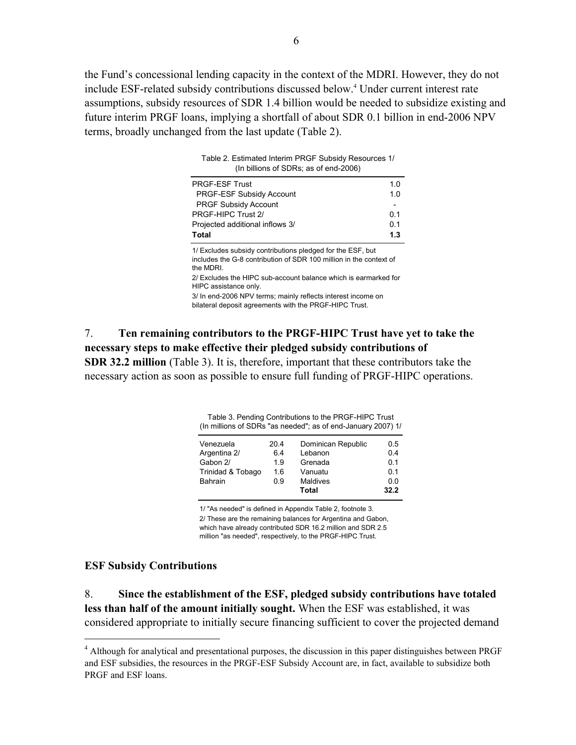the Fund's concessional lending capacity in the context of the MDRI. However, they do not include ESF-related subsidy contributions discussed below.<sup>4</sup> Under current interest rate assumptions, subsidy resources of SDR 1.4 billion would be needed to subsidize existing and future interim PRGF loans, implying a shortfall of about SDR 0.1 billion in end-2006 NPV terms, broadly unchanged from the last update (Table 2).

Table 2. Estimated Interim PRGF Subsidy Resources 1/

| (In billions of SDRs; as of end-2006)                                                                                                         |     |
|-----------------------------------------------------------------------------------------------------------------------------------------------|-----|
| <b>PRGF-ESF Trust</b>                                                                                                                         | 1.0 |
| <b>PRGF-ESF Subsidy Account</b>                                                                                                               | 1.0 |
| <b>PRGF Subsidy Account</b>                                                                                                                   |     |
| PRGF-HIPC Trust 2/                                                                                                                            | 0.1 |
| Projected additional inflows 3/                                                                                                               | 0.1 |
| Total                                                                                                                                         | 1.3 |
| 1/ Excludes subsidy contributions pledged for the ESF, but<br>includes the G-8 contribution of SDR 100 million in the context of<br>the MDRI. |     |
| 2/ Excludes the HIPC sub-account balance which is earmarked for                                                                               |     |

3/ In end-2006 NPV terms; mainly reflects interest income on bilateral deposit agreements with the PRGF-HIPC Trust. 2/ Excludes the HIPC sub-account balance which is earmarked for HIPC assistance only.

7. **Ten remaining contributors to the PRGF-HIPC Trust have yet to take the necessary steps to make effective their pledged subsidy contributions of SDR 32.2 million** (Table 3). It is, therefore, important that these contributors take the necessary action as soon as possible to ensure full funding of PRGF-HIPC operations.

Table 3. Pending Contributions to the PRGF-HIPC Trust (In millions of SDRs "as needed"; as of end-January 2007) 1/

| 20.4 | Dominican Republic | 0.5            |
|------|--------------------|----------------|
| 6.4  | Lebanon            | 0.4            |
| 1.9  | Grenada            | 0.1            |
| 1.6  | Vanuatu            | 0 <sub>1</sub> |
| 0.9  | Maldives           | 0.0            |
|      | Total              | 32.2           |
|      |                    |                |

1/ "As needed" is defined in Appendix Table 2, footnote 3.

2/ These are the remaining balances for Argentina and Gabon, which have already contributed SDR 16.2 million and SDR 2.5

million "as needed", respectively, to the PRGF-HIPC Trust.

#### **ESF Subsidy Contributions**

 $\overline{a}$ 

8. **Since the establishment of the ESF, pledged subsidy contributions have totaled less than half of the amount initially sought.** When the ESF was established, it was considered appropriate to initially secure financing sufficient to cover the projected demand

<sup>&</sup>lt;sup>4</sup> Although for analytical and presentational purposes, the discussion in this paper distinguishes between PRGF and ESF subsidies, the resources in the PRGF-ESF Subsidy Account are, in fact, available to subsidize both PRGF and ESF loans.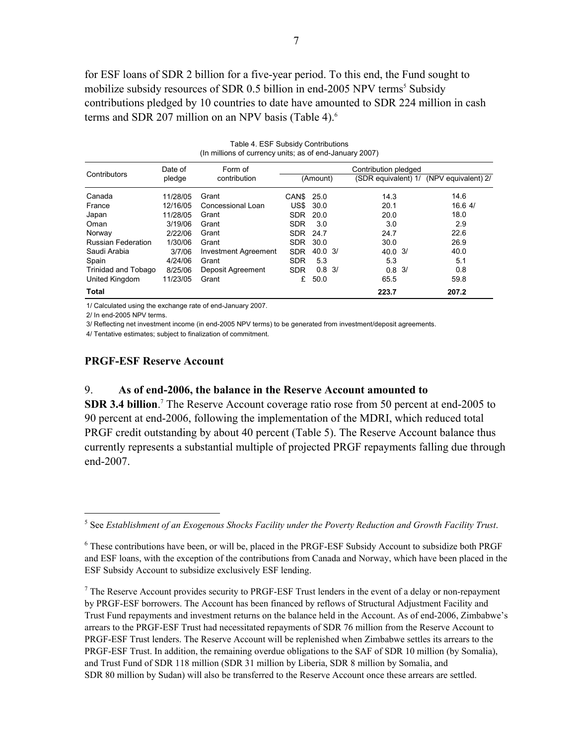for ESF loans of SDR 2 billion for a five-year period. To this end, the Fund sought to mobilize subsidy resources of SDR 0.5 billion in end-2005 NPV terms<sup>5</sup> Subsidy contributions pledged by 10 countries to date have amounted to SDR 224 million in cash terms and SDR 207 million on an NPV basis (Table 4).<sup>6</sup>

Table 4. ESF Subsidy Contributions

| (In millions of currency units; as of end-January 2007) |          |                      |                      |                    |  |                    |  |                                         |
|---------------------------------------------------------|----------|----------------------|----------------------|--------------------|--|--------------------|--|-----------------------------------------|
|                                                         | Date of  | Form of              | Contribution pledged |                    |  |                    |  |                                         |
| Contributors                                            | pledge   | contribution         |                      | (Amount)           |  |                    |  | (SDR equivalent) 1/ (NPV equivalent) 2/ |
| Canada                                                  | 11/28/05 | Grant                | CANS 25.0            |                    |  | 14.3               |  | 14.6                                    |
| France                                                  | 12/16/05 | Concessional Loan    |                      | <b>US\$ 30.0</b>   |  | 20.1               |  | 16.64/                                  |
| Japan                                                   | 11/28/05 | Grant                | <b>SDR</b>           | 20.0               |  | 20.0               |  | 18.0                                    |
| Oman                                                    | 3/19/06  | Grant                | <b>SDR</b>           | 3.0                |  | 3.0                |  | 2.9                                     |
| Norway                                                  | 2/22/06  | Grant                | <b>SDR</b>           | 24.7               |  | 24.7               |  | 22.6                                    |
| <b>Russian Federation</b>                               | 1/30/06  | Grant                | SDR 30.0             |                    |  | 30.0               |  | 26.9                                    |
| Saudi Arabia                                            | 3/7/06   | Investment Agreement | <b>SDR</b>           | $40.0 \frac{3}{1}$ |  | $40.0 \frac{3}{1}$ |  | 40.0                                    |
| Spain                                                   | 4/24/06  | Grant                | <b>SDR</b>           | 5.3                |  | 5.3                |  | 5.1                                     |
| Trinidad and Tobago                                     | 8/25/06  | Deposit Agreement    | <b>SDR</b>           | $0.8 \frac{3}{1}$  |  | $0.8 \frac{3}{1}$  |  | 0.8                                     |
| United Kingdom                                          | 11/23/05 | Grant                | £                    | 50.0               |  | 65.5               |  | 59.8                                    |
| Total                                                   |          |                      |                      |                    |  | 223.7              |  | 207.2                                   |

1/ Calculated using the exchange rate of end-January 2007.

2/ In end-2005 NPV terms.

 $\overline{a}$ 

3/ Reflecting net investment income (in end-2005 NPV terms) to be generated from investment/deposit agreements.

4/ Tentative estimates; subject to finalization of commitment.

#### **PRGF-ESF Reserve Account**

### 9. **As of end-2006, the balance in the Reserve Account amounted to**

**SDR 3.4 billion**.<sup>7</sup> The Reserve Account coverage ratio rose from 50 percent at end-2005 to 90 percent at end-2006, following the implementation of the MDRI, which reduced total PRGF credit outstanding by about 40 percent (Table 5). The Reserve Account balance thus currently represents a substantial multiple of projected PRGF repayments falling due through end-2007.

<sup>5</sup> See *Establishment of an Exogenous Shocks Facility under the Poverty Reduction and Growth Facility Trust*.

<sup>&</sup>lt;sup>6</sup> These contributions have been, or will be, placed in the PRGF-ESF Subsidy Account to subsidize both PRGF and ESF loans, with the exception of the contributions from Canada and Norway, which have been placed in the ESF Subsidy Account to subsidize exclusively ESF lending.

 $<sup>7</sup>$  The Reserve Account provides security to PRGF-ESF Trust lenders in the event of a delay or non-repayment</sup> by PRGF-ESF borrowers. The Account has been financed by reflows of Structural Adjustment Facility and Trust Fund repayments and investment returns on the balance held in the Account. As of end-2006, Zimbabwe's arrears to the PRGF-ESF Trust had necessitated repayments of SDR 76 million from the Reserve Account to PRGF-ESF Trust lenders. The Reserve Account will be replenished when Zimbabwe settles its arrears to the PRGF-ESF Trust. In addition, the remaining overdue obligations to the SAF of SDR 10 million (by Somalia), and Trust Fund of SDR 118 million (SDR 31 million by Liberia, SDR 8 million by Somalia, and SDR 80 million by Sudan) will also be transferred to the Reserve Account once these arrears are settled.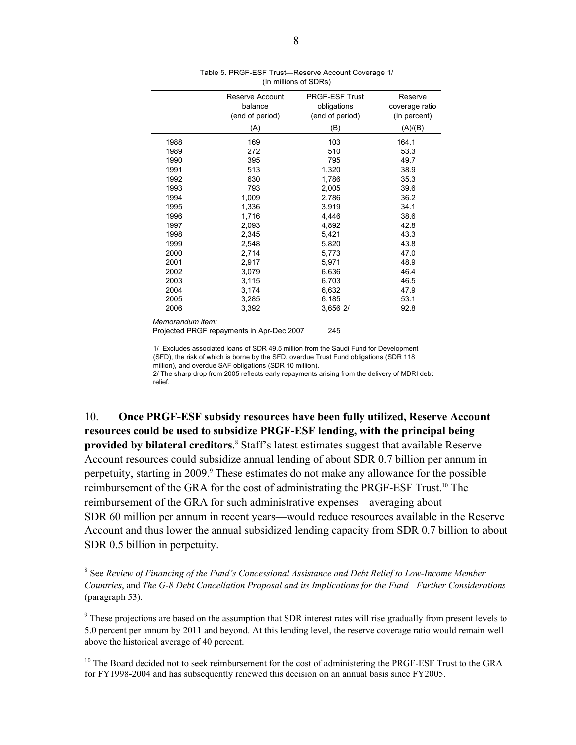|                  | Reserve Account<br>balance                | <b>PRGF-ESF Trust</b>          | Reserve                        |
|------------------|-------------------------------------------|--------------------------------|--------------------------------|
|                  | (end of period)                           | obligations<br>(end of period) | coverage ratio<br>(In percent) |
|                  |                                           |                                |                                |
|                  | (A)                                       | (B)                            | (A)/(B)                        |
| 1988             | 169                                       | 103                            | 164.1                          |
| 1989             | 272                                       | 510                            | 53.3                           |
| 1990             | 395                                       | 795                            | 49.7                           |
| 1991             | 513                                       | 1,320                          | 38.9                           |
| 1992             | 630                                       | 1,786                          | 35.3                           |
| 1993             | 793                                       | 2,005                          | 39.6                           |
| 1994             | 1,009                                     | 2,786                          | 36.2                           |
| 1995             | 1,336                                     | 3,919                          | 34.1                           |
| 1996             | 1,716                                     | 4,446                          | 38.6                           |
| 1997             | 2,093                                     | 4,892                          | 42.8                           |
| 1998             | 2,345                                     | 5,421                          | 43.3                           |
| 1999             | 2,548                                     | 5,820                          | 43.8                           |
| 2000             | 2,714                                     | 5,773                          | 47.0                           |
| 2001             | 2,917                                     | 5,971                          | 48.9                           |
| 2002             | 3,079                                     | 6,636                          | 46.4                           |
| 2003             | 3,115                                     | 6,703                          | 46.5                           |
| 2004             | 3,174                                     | 6,632                          | 47.9                           |
| 2005             | 3,285                                     | 6,185                          | 53.1                           |
| 2006             | 3,392                                     | 3,656 2/                       | 92.8                           |
| Memorandum item: |                                           |                                |                                |
|                  | Projected PRGF repayments in Apr-Dec 2007 | 245                            |                                |

| Table 5. PRGF-ESF Trust-Reserve Account Coverage 1/ |
|-----------------------------------------------------|
| (In millions of SDRs)                               |

1/ Excludes associated loans of SDR 49.5 million from the Saudi Fund for Development (SFD), the risk of which is borne by the SFD, overdue Trust Fund obligations (SDR 118 million), and overdue SAF obligations (SDR 10 million).

 relief. 2/ The sharp drop from 2005 reflects early repayments arising from the delivery of MDRI debt

10. **Once PRGF-ESF subsidy resources have been fully utilized, Reserve Account resources could be used to subsidize PRGF-ESF lending, with the principal being**  provided by bilateral creditors.<sup>8</sup> Staff's latest estimates suggest that available Reserve Account resources could subsidize annual lending of about SDR 0.7 billion per annum in perpetuity, starting in 2009.<sup>9</sup> These estimates do not make any allowance for the possible reimbursement of the GRA for the cost of administrating the PRGF-ESF Trust.10 The reimbursement of the GRA for such administrative expenses—averaging about SDR 60 million per annum in recent years—would reduce resources available in the Reserve Account and thus lower the annual subsidized lending capacity from SDR 0.7 billion to about SDR 0.5 billion in perpetuity.

1

<sup>8</sup> See *Review of Financing of the Fund's Concessional Assistance and Debt Relief to Low-Income Member Countries*, and *The G-8 Debt Cancellation Proposal and its Implications for the Fund—Further Considerations* (paragraph 53).

 $9$ <sup>9</sup> These projections are based on the assumption that SDR interest rates will rise gradually from present levels to 5.0 percent per annum by 2011 and beyond. At this lending level, the reserve coverage ratio would remain well above the historical average of 40 percent.

<sup>&</sup>lt;sup>10</sup> The Board decided not to seek reimbursement for the cost of administering the PRGF-ESF Trust to the GRA for FY1998-2004 and has subsequently renewed this decision on an annual basis since FY2005.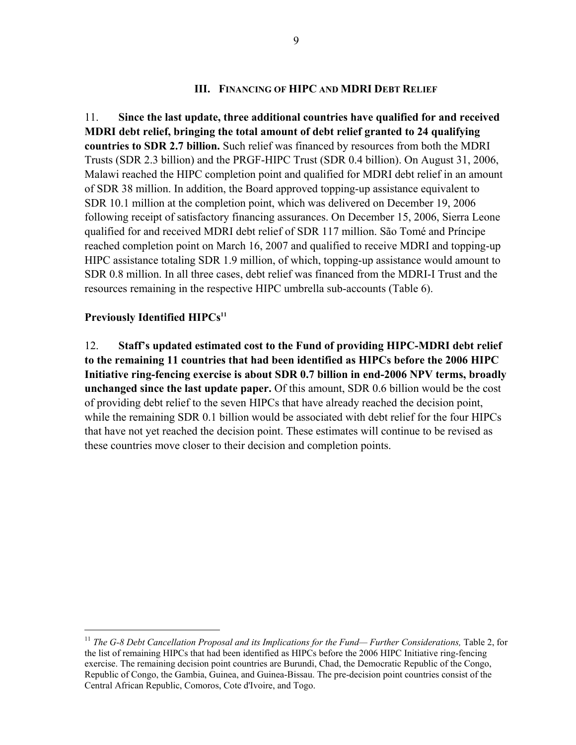### **III. FINANCING OF HIPC AND MDRI DEBT RELIEF**

11. **Since the last update, three additional countries have qualified for and received MDRI debt relief, bringing the total amount of debt relief granted to 24 qualifying countries to SDR 2.7 billion.** Such relief was financed by resources from both the MDRI Trusts (SDR 2.3 billion) and the PRGF-HIPC Trust (SDR 0.4 billion). On August 31, 2006, Malawi reached the HIPC completion point and qualified for MDRI debt relief in an amount of SDR 38 million. In addition, the Board approved topping-up assistance equivalent to SDR 10.1 million at the completion point, which was delivered on December 19, 2006 following receipt of satisfactory financing assurances. On December 15, 2006, Sierra Leone qualified for and received MDRI debt relief of SDR 117 million. São Tomé and Príncipe reached completion point on March 16, 2007 and qualified to receive MDRI and topping-up HIPC assistance totaling SDR 1.9 million, of which, topping-up assistance would amount to SDR 0.8 million. In all three cases, debt relief was financed from the MDRI-I Trust and the resources remaining in the respective HIPC umbrella sub-accounts (Table 6).

### **Previously Identified HIPCs<sup>11</sup>**

<u>.</u>

12. **Staff's updated estimated cost to the Fund of providing HIPC-MDRI debt relief to the remaining 11 countries that had been identified as HIPCs before the 2006 HIPC Initiative ring-fencing exercise is about SDR 0.7 billion in end-2006 NPV terms, broadly unchanged since the last update paper.** Of this amount, SDR 0.6 billion would be the cost of providing debt relief to the seven HIPCs that have already reached the decision point, while the remaining SDR 0.1 billion would be associated with debt relief for the four HIPCs that have not yet reached the decision point. These estimates will continue to be revised as these countries move closer to their decision and completion points.

<sup>&</sup>lt;sup>11</sup> The G-8 Debt Cancellation Proposal and its Implications for the Fund— Further Considerations, Table 2, for the list of remaining HIPCs that had been identified as HIPCs before the 2006 HIPC Initiative ring-fencing exercise. The remaining decision point countries are Burundi, Chad, the Democratic Republic of the Congo, Republic of Congo, the Gambia, Guinea, and Guinea-Bissau. The pre-decision point countries consist of the Central African Republic, Comoros, Cote d'Ivoire, and Togo.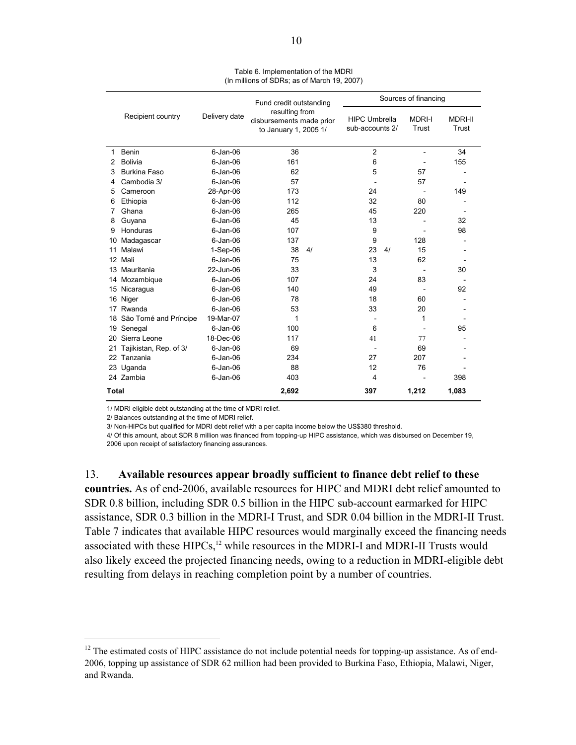|       |                        |               | Fund credit outstanding                                             |                                         | Sources of financing     |                         |  |  |
|-------|------------------------|---------------|---------------------------------------------------------------------|-----------------------------------------|--------------------------|-------------------------|--|--|
|       | Recipient country      | Delivery date | resulting from<br>disbursements made prior<br>to January 1, 2005 1/ | <b>HIPC Umbrella</b><br>sub-accounts 2/ | <b>MDRI-I</b><br>Trust   | <b>MDRI-II</b><br>Trust |  |  |
| 1     | Benin                  | $6$ -Jan-06   | 36                                                                  | $\overline{2}$                          | $\overline{\phantom{a}}$ | 34                      |  |  |
| 2     | <b>Bolivia</b>         | $6$ -Jan-06   | 161                                                                 | 6                                       |                          | 155                     |  |  |
| 3     | Burkina Faso           | $6$ -Jan-06   | 62                                                                  | 5                                       | 57                       |                         |  |  |
| 4     | Cambodia 3/            | $6$ -Jan-06   | 57                                                                  |                                         | 57                       |                         |  |  |
| 5     | Cameroon               | 28-Apr-06     | 173                                                                 | 24                                      | $\blacksquare$           | 149                     |  |  |
| 6     | Ethiopia               | $6 - Jan-06$  | 112                                                                 | 32                                      | 80                       |                         |  |  |
| 7     | Ghana                  | $6 - Jan-06$  | 265                                                                 | 45                                      | 220                      |                         |  |  |
| 8     | Guyana                 | $6$ -Jan-06   | 45                                                                  | 13                                      |                          | 32                      |  |  |
| 9     | Honduras               | $6 - Jan-06$  | 107                                                                 | 9                                       |                          | 98                      |  |  |
| 10    | Madagascar             | $6 - Jan-06$  | 137                                                                 | 9                                       | 128                      |                         |  |  |
| 11    | Malawi                 | $1-Sep-06$    | 38<br>4/                                                            | 23<br>4/                                | 15                       |                         |  |  |
| 12    | Mali                   | $6 - Jan-06$  | 75                                                                  | 13                                      | 62                       |                         |  |  |
| 13    | Mauritania             | 22-Jun-06     | 33                                                                  | 3                                       |                          | 30                      |  |  |
| 14    | Mozambique             | $6 - Jan-06$  | 107                                                                 | 24                                      | 83                       |                         |  |  |
| 15    | Nicaragua              | $6$ -Jan-06   | 140                                                                 | 49                                      |                          | 92                      |  |  |
| 16    | Niger                  | $6$ -Jan-06   | 78                                                                  | 18                                      | 60                       |                         |  |  |
| 17    | Rwanda                 | $6 - Jan-06$  | 53                                                                  | 33                                      | 20                       |                         |  |  |
| 18    | São Tomé and Príncipe  | 19-Mar-07     | 1                                                                   |                                         | 1                        |                         |  |  |
| 19    | Senegal                | $6$ -Jan-06   | 100                                                                 | 6                                       |                          | 95                      |  |  |
| 20    | Sierra Leone           | 18-Dec-06     | 117                                                                 | 41                                      | 77                       |                         |  |  |
| 21    | Tajikistan, Rep. of 3/ | $6 - Jan-06$  | 69                                                                  |                                         | 69                       |                         |  |  |
| 22    | Tanzania               | $6$ -Jan-06   | 234                                                                 | 27                                      | 207                      |                         |  |  |
| 23    | Uganda                 | $6$ -Jan-06   | 88                                                                  | 12                                      | 76                       |                         |  |  |
|       | 24 Zambia              | $6$ -Jan-06   | 403                                                                 | 4                                       |                          | 398                     |  |  |
| Total |                        |               | 2,692                                                               | 397                                     | 1,212                    | 1,083                   |  |  |

Table 6. Implementation of the MDRI (In millions of SDRs; as of March 19, 2007)

1/ MDRI eligible debt outstanding at the time of MDRI relief.

2/ Balances outstanding at the time of MDRI relief.

 $\overline{a}$ 

3/ Non-HIPCs but qualified for MDRI debt relief with a per capita income below the US\$380 threshold.

4/ Of this amount, about SDR 8 million was financed from topping-up HIPC assistance, which was disbursed on December 19, 2006 upon receipt of satisfactory financing assurances.

13. **Available resources appear broadly sufficient to finance debt relief to these countries.** As of end-2006, available resources for HIPC and MDRI debt relief amounted to SDR 0.8 billion, including SDR 0.5 billion in the HIPC sub-account earmarked for HIPC assistance, SDR 0.3 billion in the MDRI-I Trust, and SDR 0.04 billion in the MDRI-II Trust. Table 7 indicates that available HIPC resources would marginally exceed the financing needs associated with these  $HIPCs$ ,<sup>12</sup> while resources in the MDRI-I and MDRI-II Trusts would also likely exceed the projected financing needs, owing to a reduction in MDRI-eligible debt resulting from delays in reaching completion point by a number of countries.

<sup>&</sup>lt;sup>12</sup> The estimated costs of HIPC assistance do not include potential needs for topping-up assistance. As of end-2006, topping up assistance of SDR 62 million had been provided to Burkina Faso, Ethiopia, Malawi, Niger, and Rwanda.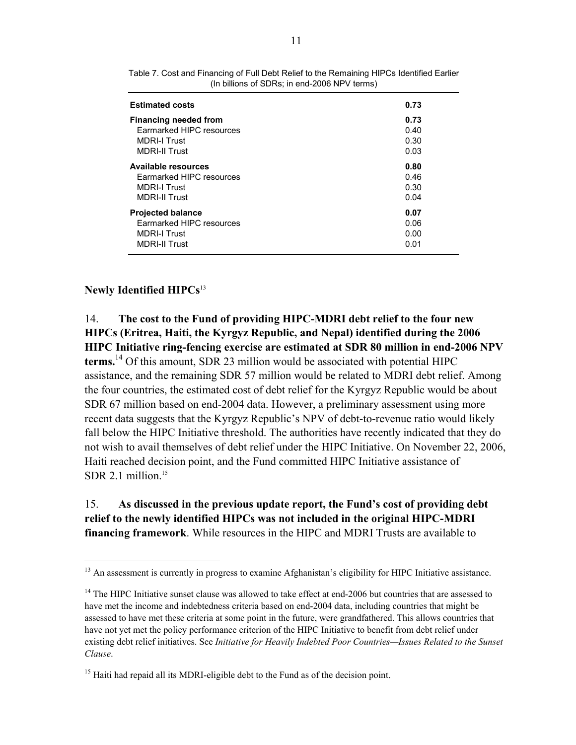| <b>Estimated costs</b>       | 0.73 |
|------------------------------|------|
| <b>Financing needed from</b> | 0.73 |
| Earmarked HIPC resources     | 0.40 |
| <b>MDRI-I Trust</b>          | 0.30 |
| <b>MDRI-II Trust</b>         | 0.03 |
| <b>Available resources</b>   | 0.80 |
| Earmarked HIPC resources     | 0.46 |
| <b>MDRI-I Trust</b>          | 0.30 |
| <b>MDRI-II Trust</b>         | 0.04 |
| <b>Projected balance</b>     | 0.07 |
| Earmarked HIPC resources     | 0.06 |
| <b>MDRI-I Trust</b>          | 0.00 |
| <b>MDRI-II Trust</b>         | 0.01 |

Table 7. Cost and Financing of Full Debt Relief to the Remaining HIPCs Identified Earlier (In billions of SDRs; in end-2006 NPV terms)

### **Newly Identified HIPCs**<sup>13</sup>

1

14. **The cost to the Fund of providing HIPC-MDRI debt relief to the four new HIPCs (Eritrea, Haiti, the Kyrgyz Republic, and Nepal) identified during the 2006 HIPC Initiative ring-fencing exercise are estimated at SDR 80 million in end-2006 NPV terms.**14 Of this amount, SDR 23 million would be associated with potential HIPC assistance, and the remaining SDR 57 million would be related to MDRI debt relief. Among the four countries, the estimated cost of debt relief for the Kyrgyz Republic would be about SDR 67 million based on end-2004 data. However, a preliminary assessment using more recent data suggests that the Kyrgyz Republic's NPV of debt-to-revenue ratio would likely fall below the HIPC Initiative threshold. The authorities have recently indicated that they do not wish to avail themselves of debt relief under the HIPC Initiative. On November 22, 2006, Haiti reached decision point, and the Fund committed HIPC Initiative assistance of SDR 2.1 million $15$ 

# 15. **As discussed in the previous update report, the Fund's cost of providing debt relief to the newly identified HIPCs was not included in the original HIPC-MDRI financing framework**. While resources in the HIPC and MDRI Trusts are available to

<sup>&</sup>lt;sup>13</sup> An assessment is currently in progress to examine Afghanistan's eligibility for HIPC Initiative assistance.

<sup>&</sup>lt;sup>14</sup> The HIPC Initiative sunset clause was allowed to take effect at end-2006 but countries that are assessed to have met the income and indebtedness criteria based on end-2004 data, including countries that might be assessed to have met these criteria at some point in the future, were grandfathered. This allows countries that have not yet met the policy performance criterion of the HIPC Initiative to benefit from debt relief under existing debt relief initiatives. See *Initiative for Heavily Indebted Poor Countries—Issues Related to the Sunset Clause*.

<sup>&</sup>lt;sup>15</sup> Haiti had repaid all its MDRI-eligible debt to the Fund as of the decision point.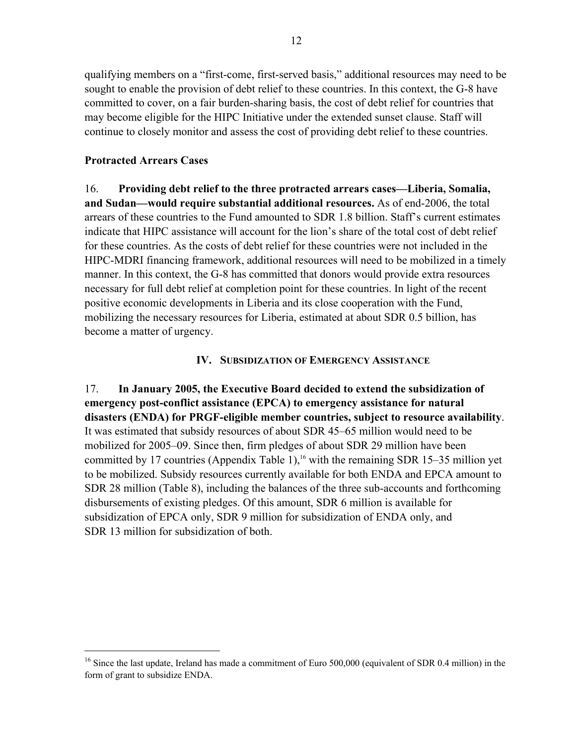qualifying members on a "first-come, first-served basis," additional resources may need to be sought to enable the provision of debt relief to these countries. In this context, the G-8 have committed to cover, on a fair burden-sharing basis, the cost of debt relief for countries that may become eligible for the HIPC Initiative under the extended sunset clause. Staff will continue to closely monitor and assess the cost of providing debt relief to these countries.

# **Protracted Arrears Cases**

1

16. **Providing debt relief to the three protracted arrears cases—Liberia, Somalia, and Sudan—would require substantial additional resources.** As of end-2006, the total arrears of these countries to the Fund amounted to SDR 1.8 billion. Staff's current estimates indicate that HIPC assistance will account for the lion's share of the total cost of debt relief for these countries. As the costs of debt relief for these countries were not included in the HIPC-MDRI financing framework, additional resources will need to be mobilized in a timely manner. In this context, the G-8 has committed that donors would provide extra resources necessary for full debt relief at completion point for these countries. In light of the recent positive economic developments in Liberia and its close cooperation with the Fund, mobilizing the necessary resources for Liberia, estimated at about SDR 0.5 billion, has become a matter of urgency.

# **IV. SUBSIDIZATION OF EMERGENCY ASSISTANCE**

17. **In January 2005, the Executive Board decided to extend the subsidization of emergency post-conflict assistance (EPCA) to emergency assistance for natural disasters (ENDA) for PRGF-eligible member countries, subject to resource availability**. It was estimated that subsidy resources of about SDR 45–65 million would need to be mobilized for 2005–09. Since then, firm pledges of about SDR 29 million have been committed by 17 countries (Appendix Table 1),<sup>16</sup> with the remaining SDR 15–35 million yet to be mobilized. Subsidy resources currently available for both ENDA and EPCA amount to SDR 28 million (Table 8), including the balances of the three sub-accounts and forthcoming disbursements of existing pledges. Of this amount, SDR 6 million is available for subsidization of EPCA only, SDR 9 million for subsidization of ENDA only, and SDR 13 million for subsidization of both.

<sup>&</sup>lt;sup>16</sup> Since the last update, Ireland has made a commitment of Euro 500,000 (equivalent of SDR 0.4 million) in the form of grant to subsidize ENDA.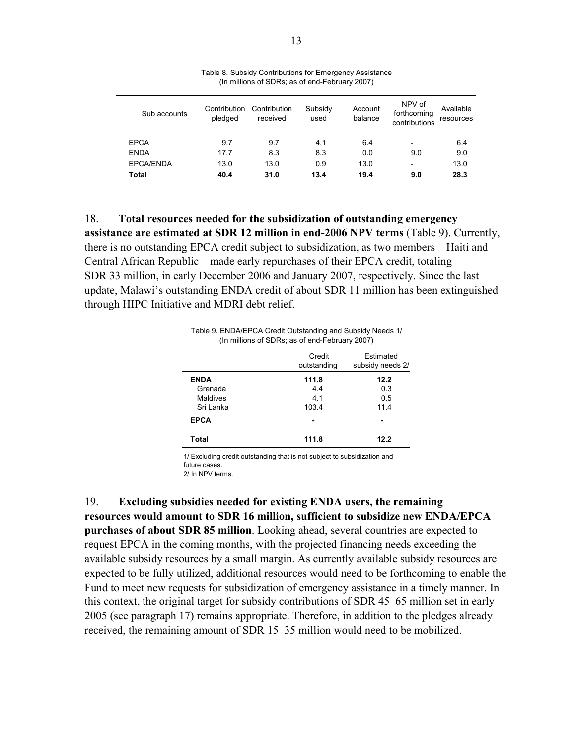| Sub accounts     | Contribution<br>pledged | Contribution<br>received | Subsidy<br>used | Account<br>balance | NPV of<br>forthcoming<br>contributions | Available<br>resources |
|------------------|-------------------------|--------------------------|-----------------|--------------------|----------------------------------------|------------------------|
| <b>EPCA</b>      | 9.7                     | 9.7                      | 4.1             | 6.4                | $\qquad \qquad$                        | 6.4                    |
| <b>ENDA</b>      | 17.7                    | 8.3                      | 8.3             | 0.0                | 9.0                                    | 9.0                    |
| <b>EPCA/ENDA</b> | 13.0                    | 13.0                     | 0.9             | 13.0               | $\qquad \qquad$                        | 13.0                   |
| Total            | 40.4                    | 31.0                     | 13.4            | 19.4               | 9.0                                    | 28.3                   |

Table 8. Subsidy Contributions for Emergency Assistance (In millions of SDRs; as of end-February 2007)

18. **Total resources needed for the subsidization of outstanding emergency assistance are estimated at SDR 12 million in end-2006 NPV terms** (Table 9). Currently, there is no outstanding EPCA credit subject to subsidization, as two members—Haiti and Central African Republic—made early repurchases of their EPCA credit, totaling SDR 33 million, in early December 2006 and January 2007, respectively. Since the last update, Malawi's outstanding ENDA credit of about SDR 11 million has been extinguished through HIPC Initiative and MDRI debt relief.



|             | Credit<br>outstanding | Estimated<br>subsidy needs 2/ |
|-------------|-----------------------|-------------------------------|
| <b>ENDA</b> | 111.8                 | 12.2                          |
| Grenada     | 4.4                   | 0.3                           |
| Maldives    | 4.1                   | 0.5                           |
| Sri Lanka   | 103.4                 | 11.4                          |
| <b>EPCA</b> |                       |                               |
| Total       | 111.8                 | 12.2                          |

2/ In NPV terms. 1/ Excluding credit outstanding that is not subject to subsidization and future cases.

19. **Excluding subsidies needed for existing ENDA users, the remaining resources would amount to SDR 16 million, sufficient to subsidize new ENDA/EPCA purchases of about SDR 85 million**. Looking ahead, several countries are expected to request EPCA in the coming months, with the projected financing needs exceeding the available subsidy resources by a small margin. As currently available subsidy resources are expected to be fully utilized, additional resources would need to be forthcoming to enable the Fund to meet new requests for subsidization of emergency assistance in a timely manner. In this context, the original target for subsidy contributions of SDR 45–65 million set in early 2005 (see paragraph 17) remains appropriate. Therefore, in addition to the pledges already received, the remaining amount of SDR 15–35 million would need to be mobilized.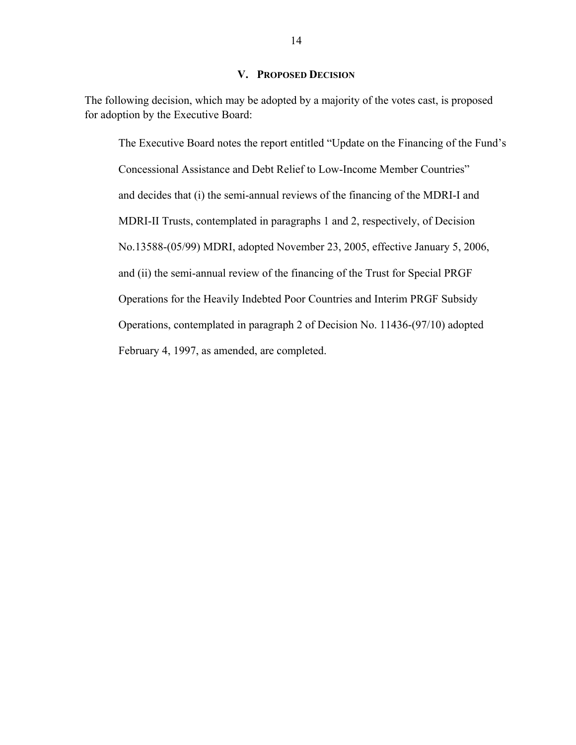### **V. PROPOSED DECISION**

The following decision, which may be adopted by a majority of the votes cast, is proposed for adoption by the Executive Board:

The Executive Board notes the report entitled "Update on the Financing of the Fund's Concessional Assistance and Debt Relief to Low-Income Member Countries" and decides that (i) the semi-annual reviews of the financing of the MDRI-I and MDRI-II Trusts, contemplated in paragraphs 1 and 2, respectively, of Decision No.13588-(05/99) MDRI, adopted November 23, 2005, effective January 5, 2006, and (ii) the semi-annual review of the financing of the Trust for Special PRGF Operations for the Heavily Indebted Poor Countries and Interim PRGF Subsidy Operations, contemplated in paragraph 2 of Decision No. 11436-(97/10) adopted February 4, 1997, as amended, are completed.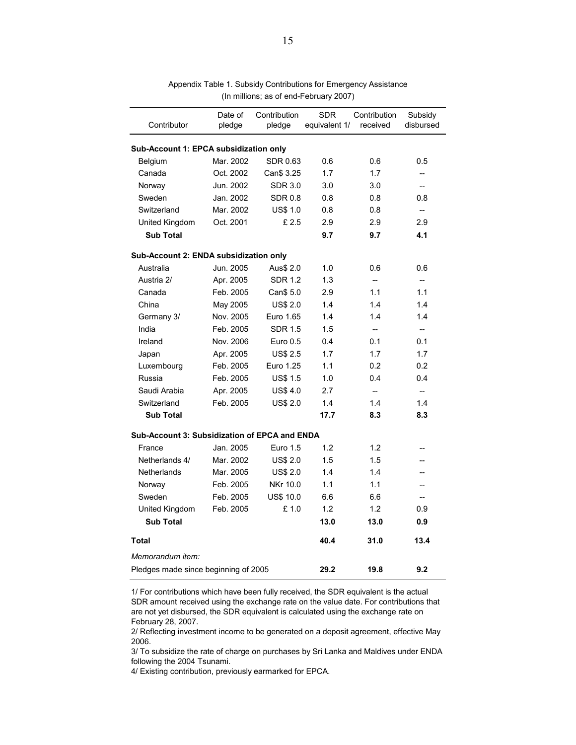| Contributor                                          | Date of<br>pledge | Contribution<br>pledge | <b>SDR</b><br>equivalent 1/ | Contribution<br>received | Subsidy<br>disbursed |  |  |  |
|------------------------------------------------------|-------------------|------------------------|-----------------------------|--------------------------|----------------------|--|--|--|
| Sub-Account 1: EPCA subsidization only               |                   |                        |                             |                          |                      |  |  |  |
| Belgium                                              | 0.6               | 0.6                    | 0.5                         |                          |                      |  |  |  |
| Canada                                               | Oct. 2002         | Can\$ 3.25             | 1.7                         | 1.7                      | $\overline{a}$       |  |  |  |
| Norway                                               | Jun. 2002         | <b>SDR 3.0</b>         | 3.0                         | 3.0                      | $\overline{a}$       |  |  |  |
| Sweden                                               | Jan. 2002         | <b>SDR 0.8</b>         | 0.8                         | 0.8                      | 0.8                  |  |  |  |
| Switzerland                                          | Mar. 2002         | <b>US\$ 1.0</b>        | 0.8                         | 0.8                      | <u></u>              |  |  |  |
| United Kingdom                                       | Oct. 2001         | £2.5                   | 2.9                         | 2.9                      | 2.9                  |  |  |  |
| <b>Sub Total</b>                                     |                   |                        | 9.7                         | 9.7                      | 4.1                  |  |  |  |
| Sub-Account 2: ENDA subsidization only               |                   |                        |                             |                          |                      |  |  |  |
| Australia                                            | Jun. 2005         | Aus\$ 2.0              | 1.0                         | 0.6                      | 0.6                  |  |  |  |
| Austria 2/                                           | Apr. 2005         | <b>SDR 1.2</b>         | 1.3                         | --                       | ÷                    |  |  |  |
| Canada                                               | Feb. 2005         | Can\$ 5.0              | 2.9                         | 1.1                      | 1.1                  |  |  |  |
| China                                                | May 2005          | <b>US\$ 2.0</b>        | 1.4                         | 1.4                      | 1.4                  |  |  |  |
| Germany 3/                                           | Nov. 2005         | Euro 1.65              | 1.4                         | 14                       | 14                   |  |  |  |
| India                                                | Feb. 2005         | <b>SDR 1.5</b>         | 1.5                         | $\overline{a}$           | $\overline{a}$       |  |  |  |
| Ireland                                              | Nov. 2006         | Euro 0.5               | 0.4                         | 0.1                      | 0.1                  |  |  |  |
| Japan                                                | Apr. 2005         | <b>US\$ 2.5</b>        | 1.7                         | 1.7                      | 1.7                  |  |  |  |
| Luxembourg                                           | Feb. 2005         | Euro 1.25              | 1.1                         | 0.2                      | 0.2                  |  |  |  |
| Russia                                               | Feb. 2005         | <b>US\$ 1.5</b>        | 1.0                         | 0.4                      | 0.4                  |  |  |  |
| Saudi Arabia                                         | Apr. 2005         | <b>US\$4.0</b>         | 2.7                         | $\overline{a}$           | $\overline{a}$       |  |  |  |
| Switzerland                                          | Feb. 2005         | <b>US\$ 2.0</b>        | 1.4                         | 1.4                      | 1.4                  |  |  |  |
| <b>Sub Total</b>                                     |                   |                        | 17.7                        | 8.3                      | 8.3                  |  |  |  |
| <b>Sub-Account 3: Subsidization of EPCA and ENDA</b> |                   |                        |                             |                          |                      |  |  |  |
| France                                               | Jan. 2005         | Euro 1.5               | 1.2                         | 1.2                      | --                   |  |  |  |
| Netherlands 4/                                       | Mar. 2002         | <b>US\$ 2.0</b>        | 1.5                         | 1.5                      | L.                   |  |  |  |
| Netherlands                                          | Mar. 2005         | <b>US\$ 2.0</b>        | 1.4                         | 1.4                      | --                   |  |  |  |
| Norway                                               | Feb. 2005         | NKr 10.0               | 1.1                         | 1.1                      | --                   |  |  |  |
| Sweden                                               | Feb. 2005         | US\$ 10.0              | 6.6                         | 6.6                      | $\overline{a}$       |  |  |  |
| United Kingdom                                       | Feb. 2005         | £1.0                   | 1.2                         | 1.2                      | 0.9                  |  |  |  |
| <b>Sub Total</b>                                     |                   |                        | 13.0                        | 13.0                     | 0.9                  |  |  |  |
| <b>Total</b>                                         |                   |                        | 40.4                        | 31.0                     | 13.4                 |  |  |  |
| Memorandum item:                                     |                   |                        |                             |                          |                      |  |  |  |
| Pledges made since beginning of 2005                 |                   |                        | 29.2                        | 19.8                     | 9.2                  |  |  |  |

Appendix Table 1. Subsidy Contributions for Emergency Assistance (In millions; as of end-February 2007)

1/ For contributions which have been fully received, the SDR equivalent is the actual SDR amount received using the exchange rate on the value date. For contributions that are not yet disbursed, the SDR equivalent is calculated using the exchange rate on February 28, 2007.

2/ Reflecting investment income to be generated on a deposit agreement, effective May 2006.

3/ To subsidize the rate of charge on purchases by Sri Lanka and Maldives under ENDA following the 2004 Tsunami.

4/ Existing contribution, previously earmarked for EPCA.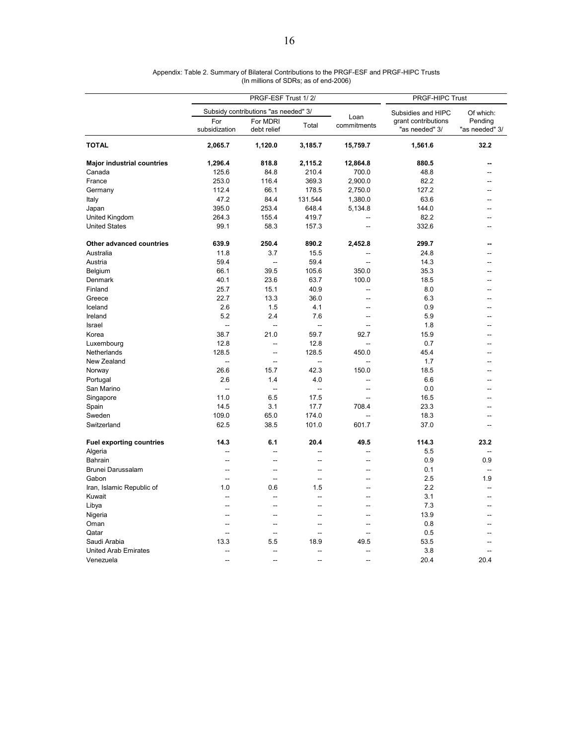|                                   | PRGF-ESF Trust 1/2/  |                                      |                          |                     |                                       | PRGF-HIPC Trust           |  |  |
|-----------------------------------|----------------------|--------------------------------------|--------------------------|---------------------|---------------------------------------|---------------------------|--|--|
|                                   |                      | Subsidy contributions "as needed" 3/ |                          |                     | Subsidies and HIPC                    | Of which:                 |  |  |
|                                   | For<br>subsidization | For MDRI<br>debt relief              | Total                    | Loan<br>commitments | grant contributions<br>"as needed" 3/ | Pending<br>"as needed" 3/ |  |  |
| <b>TOTAL</b>                      | 2,065.7              | 1,120.0                              | 3,185.7                  | 15,759.7            | 1,561.6                               | 32.2                      |  |  |
| <b>Major industrial countries</b> | 1,296.4              | 818.8                                | 2,115.2                  | 12,864.8            | 880.5                                 | --                        |  |  |
| Canada                            | 125.6                | 84.8                                 | 210.4                    | 700.0               | 48.8                                  | --                        |  |  |
| France                            | 253.0                | 116.4                                | 369.3                    | 2,900.0             | 82.2                                  |                           |  |  |
| Germany                           | 112.4                | 66.1                                 | 178.5                    | 2,750.0             | 127.2                                 | --                        |  |  |
| Italy                             | 47.2                 | 84.4                                 | 131.544                  | 1,380.0             | 63.6                                  | $\overline{a}$            |  |  |
| Japan                             | 395.0                | 253.4                                | 648.4                    | 5,134.8             | 144.0                                 | --                        |  |  |
| United Kingdom                    | 264.3                | 155.4                                | 419.7                    |                     | 82.2                                  |                           |  |  |
| <b>United States</b>              | 99.1                 | 58.3                                 | 157.3                    | $\overline{a}$      | 332.6                                 | --                        |  |  |
| Other advanced countries          | 639.9                | 250.4                                | 890.2                    | 2,452.8             | 299.7                                 | --                        |  |  |
| Australia                         | 11.8                 | 3.7                                  | 15.5                     |                     | 24.8                                  | --                        |  |  |
| Austria                           | 59.4                 | $\overline{a}$                       | 59.4                     |                     | 14.3                                  | --                        |  |  |
| Belgium                           | 66.1                 | 39.5                                 | 105.6                    | 350.0               | 35.3                                  | --                        |  |  |
| Denmark                           | 40.1                 | 23.6                                 | 63.7                     | 100.0               | 18.5                                  | --                        |  |  |
| Finland                           | 25.7                 | 15.1                                 | 40.9                     | $\overline{a}$      | 8.0                                   |                           |  |  |
| Greece                            | 22.7                 | 13.3                                 | 36.0                     | $\sim$              | 6.3                                   | --                        |  |  |
| Iceland                           | 2.6                  | 1.5                                  | 4.1                      | $\sim$              | 0.9                                   | ۵.                        |  |  |
| Ireland                           | 5.2                  | 2.4                                  | 7.6                      | --                  | 5.9                                   |                           |  |  |
| Israel                            | $\overline{a}$       | ÷,                                   | $\overline{a}$           | $\sim$              | 1.8                                   | ۵.                        |  |  |
| Korea                             | 38.7                 | 21.0                                 | 59.7                     | 92.7                | 15.9                                  | ٠.                        |  |  |
| Luxembourg                        | 12.8                 | $\overline{\phantom{a}}$             | 12.8                     | $\sim$              | 0.7                                   |                           |  |  |
| Netherlands                       | 128.5                | $\overline{a}$                       | 128.5                    | 450.0               | 45.4                                  | ۵.                        |  |  |
| New Zealand                       | $\overline{a}$       | $\overline{a}$                       |                          |                     | 1.7                                   | --                        |  |  |
| Norway                            | 26.6                 | 15.7                                 | 42.3                     | 150.0               | 18.5                                  |                           |  |  |
| Portugal                          | 2.6                  | 1.4                                  | 4.0                      |                     | 6.6                                   |                           |  |  |
| San Marino                        | $\sim$               | $\sim$                               | $\sim$                   |                     | 0.0                                   |                           |  |  |
| Singapore                         | 11.0                 | 6.5                                  | 17.5                     |                     | 16.5                                  |                           |  |  |
| Spain                             | 14.5                 | 3.1                                  | 17.7                     | 708.4               | 23.3                                  | ۵.                        |  |  |
| Sweden                            | 109.0                | 65.0                                 | 174.0                    |                     | 18.3                                  | --                        |  |  |
| Switzerland                       | 62.5                 | 38.5                                 | 101.0                    | 601.7               | 37.0                                  |                           |  |  |
| <b>Fuel exporting countries</b>   | 14.3                 | 6.1                                  | 20.4                     | 49.5                | 114.3                                 | 23.2                      |  |  |
| Algeria                           | $\overline{a}$       | $\overline{a}$                       | $\overline{a}$           | $\sim$              | 5.5                                   | $\overline{a}$            |  |  |
| Bahrain                           | $\overline{a}$       | $\overline{a}$                       | $\overline{a}$           | $\sim$              | 0.9                                   | 0.9                       |  |  |
| Brunei Darussalam                 | Ξ.                   | --                                   | $\overline{a}$           |                     | 0.1                                   |                           |  |  |
| Gabon                             | $\sim$               | $\overline{\phantom{a}}$             | $\overline{a}$           | --                  | 2.5                                   | 1.9                       |  |  |
| Iran, Islamic Republic of         | 1.0                  | 0.6                                  | 1.5                      |                     | 2.2                                   | ÷.                        |  |  |
| Kuwait                            | Ξ.                   | --                                   | $\overline{a}$           | Ξ.                  | 3.1                                   | --                        |  |  |
| Libya                             | $\overline{a}$       | $\overline{a}$                       | $\overline{a}$           | $\sim$              | 7.3                                   | $\sim$                    |  |  |
| Nigeria                           | $\overline{a}$       | --                                   | $\sim$                   | --                  | 13.9                                  | ۵.                        |  |  |
| Oman                              | --                   | --                                   | $\overline{\phantom{a}}$ | --                  | 0.8                                   | --                        |  |  |
| Qatar                             | $\overline{a}$       | $\overline{a}$                       | $\sim$                   |                     | 0.5                                   |                           |  |  |
| Saudi Arabia                      | 13.3                 | 5.5                                  | 18.9                     | 49.5                | 53.5                                  | --                        |  |  |
| <b>United Arab Emirates</b>       | ц.                   | $\overline{a}$                       | $\overline{\phantom{a}}$ |                     | 3.8                                   |                           |  |  |
| Venezuela                         | $\sim$               | --                                   | $\sim$                   | $\sim$              | 20.4                                  | 20.4                      |  |  |

Appendix: Table 2. Summary of Bilateral Contributions to the PRGF-ESF and PRGF-HIPC Trusts (In millions of SDRs; as of end-2006)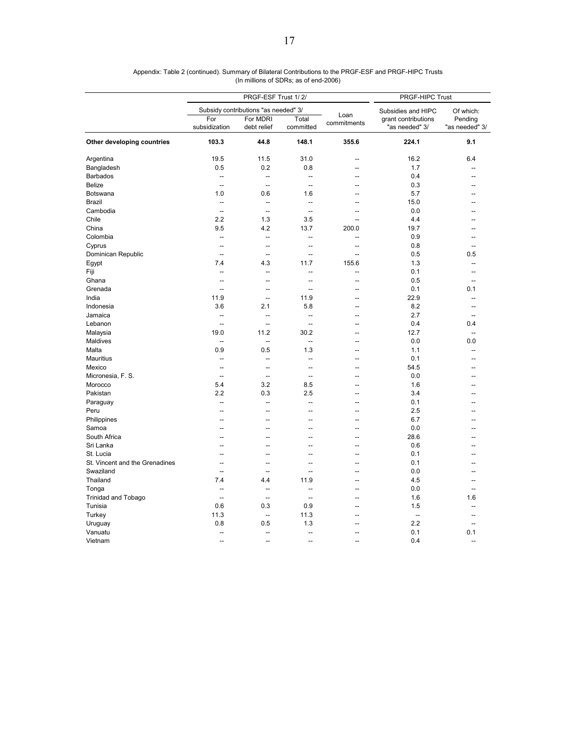|                                |                          | PRGF-ESF Trust 1/2/                  | PRGF-HIPC Trust          |                     |                                       |                           |
|--------------------------------|--------------------------|--------------------------------------|--------------------------|---------------------|---------------------------------------|---------------------------|
|                                |                          | Subsidy contributions "as needed" 3/ |                          |                     | Subsidies and HIPC                    | Of which:                 |
|                                | For<br>subsidization     | For MDRI<br>debt relief              | Total<br>committed       | Loan<br>commitments | grant contributions<br>"as needed" 3/ | Pending<br>"as needed" 3/ |
| Other developing countries     | 103.3                    | 44.8                                 | 148.1                    | 355.6               | 224.1                                 | 9.1                       |
| Argentina                      | 19.5                     | 11.5                                 | 31.0                     | $\overline{a}$      | 16.2                                  | 6.4                       |
| Bangladesh                     | 0.5                      | 0.2                                  | 0.8                      |                     | 1.7                                   | Ξ.                        |
| <b>Barbados</b>                | --                       | $\overline{\phantom{a}}$             | --                       | $\overline{a}$      | 0.4                                   | $\overline{a}$            |
| <b>Belize</b>                  | $\overline{a}$           | $\overline{a}$                       | $\overline{a}$           | --                  | 0.3                                   | $\overline{a}$            |
| Botswana                       | 1.0                      | 0.6                                  | 1.6                      | Ξ.                  | 5.7                                   |                           |
| <b>Brazil</b>                  | $\overline{a}$           | $\overline{\phantom{a}}$             | --                       |                     | 15.0                                  |                           |
| Cambodia                       | $\sim$                   | $\overline{a}$                       | $\overline{a}$           | --                  | 0.0                                   | --                        |
| Chile                          | 2.2                      | 1.3                                  | 3.5                      |                     | 4.4                                   |                           |
| China                          | 9.5                      | 4.2                                  | 13.7                     | 200.0               | 19.7                                  | --                        |
| Colombia                       | $\overline{\phantom{a}}$ | $\overline{\phantom{a}}$             | --                       | $\overline{a}$      | 0.9                                   | Ξ.                        |
| Cyprus                         | --                       | $\overline{\phantom{a}}$             | --                       | --                  | 0.8                                   | Ξ.                        |
| Dominican Republic             | $\sim$                   | $\overline{a}$                       | $\overline{a}$           | $\overline{a}$      | 0.5                                   | 0.5                       |
| Egypt                          | 7.4                      | 4.3                                  | 11.7                     | 155.6               | 1.3                                   | $\overline{a}$            |
| Fiji                           | --                       | $\overline{\phantom{a}}$             | --                       |                     | 0.1                                   | --                        |
| Ghana                          | Ξ.                       | $\overline{\phantom{a}}$             | $\overline{\phantom{a}}$ | $\overline{a}$      | 0.5                                   | Ξ.                        |
| Grenada                        | $\overline{a}$           | $\overline{\phantom{a}}$             | $\overline{a}$           | --                  | 0.1                                   | 0.1                       |
| India                          | 11.9                     | $\overline{a}$                       | 11.9                     | $\overline{a}$      | 22.9                                  | --                        |
| Indonesia                      | 3.6                      | 2.1                                  | 5.8                      | --                  | 8.2                                   | $\overline{a}$            |
| Jamaica                        | $\overline{a}$           | $\overline{a}$                       | $\overline{a}$           | $\overline{a}$      | 2.7                                   | $\overline{a}$            |
| Lebanon                        | $\overline{a}$           | $\overline{\phantom{a}}$             | $\overline{a}$           |                     | 0.4                                   | 0.4                       |
| Malaysia                       | 19.0                     | 11.2                                 | 30.2                     | $\overline{a}$      | 12.7                                  | $\overline{a}$            |
| Maldives                       | $\overline{a}$           | $\overline{\phantom{a}}$             | $\overline{a}$           | $\overline{a}$      | 0.0                                   | 0.0                       |
| Malta                          | 0.9                      | 0.5                                  | 1.3                      | $\overline{a}$      | 1.1                                   | $\overline{a}$            |
| <b>Mauritius</b>               | $\overline{\phantom{a}}$ | $\overline{\phantom{a}}$             | $\overline{a}$           | $\overline{a}$      | 0.1                                   | $\overline{a}$            |
| Mexico                         | $\overline{a}$           | $\overline{\phantom{a}}$             | $\overline{a}$           | and in              | 54.5                                  | ۰.                        |
| Micronesia, F. S.              | $\overline{a}$           | $\overline{\phantom{a}}$             | --                       |                     | 0.0                                   | --                        |
| Morocco                        | 5.4                      | 3.2                                  | 8.5                      | $\overline{a}$      | 1.6                                   | ÷                         |
| Pakistan                       | 2.2                      | 0.3                                  | 2.5                      | --                  | 3.4                                   | ÷                         |
| Paraguay                       | --                       | --                                   | --                       | --                  | 0.1                                   | --                        |
| Peru                           |                          | --                                   | --                       |                     | 2.5                                   |                           |
| Philippines                    | --                       | $\overline{\phantom{a}}$             | ۵.                       | $\overline{a}$      | 6.7                                   |                           |
| Samoa                          |                          | $\overline{a}$                       | $\overline{a}$           |                     | 0.0                                   |                           |
| South Africa                   |                          | --                                   | --                       |                     | 28.6                                  |                           |
| Sri Lanka                      | $\overline{a}$           | $\overline{a}$                       | $-$                      | $\overline{a}$      | 0.6                                   | --                        |
| St. Lucia                      | $\overline{a}$           | $\overline{a}$                       | $\overline{a}$           | $\overline{a}$      | 0.1                                   | ۰.                        |
| St. Vincent and the Grenadines | --                       | $\overline{\phantom{a}}$             | --                       | Ξ.                  | 0.1                                   | Ξ.                        |
| Swaziland                      | $\overline{\phantom{a}}$ | $\sim$                               | $\overline{a}$           | $\overline{a}$      | 0.0                                   | --                        |
| Thailand                       | 7.4                      | 4.4                                  | 11.9                     |                     | 4.5                                   | ٠.                        |
| Tonga                          | --                       | $\overline{\phantom{a}}$             | --                       | Ξ.                  | 0.0                                   | --                        |
| <b>Trinidad and Tobago</b>     | $\overline{a}$           | $\overline{\phantom{a}}$             | $\overline{\phantom{a}}$ | --                  | 1.6                                   | 1.6                       |
| Tunisia                        | 0.6                      | 0.3                                  | 0.9                      | $\overline{a}$      | 1.5                                   | --                        |
| Turkey                         | 11.3                     | --                                   | 11.3                     |                     | --                                    |                           |
| Uruguay                        | 0.8                      | 0.5                                  | 1.3                      |                     | 2.2                                   | Ξ.                        |
| Vanuatu                        | $\overline{a}$           | $\overline{a}$                       | $\overline{a}$           |                     | 0.1                                   | 0.1                       |
| Vietnam                        | $\overline{a}$           | $\overline{a}$                       | --                       |                     | 0.4                                   | Ξ.                        |
|                                |                          |                                      |                          |                     |                                       |                           |

Appendix: Table 2 (continued). Summary of Bilateral Contributions to the PRGF-ESF and PRGF-HIPC Trusts (In millions of SDRs; as of end-2006)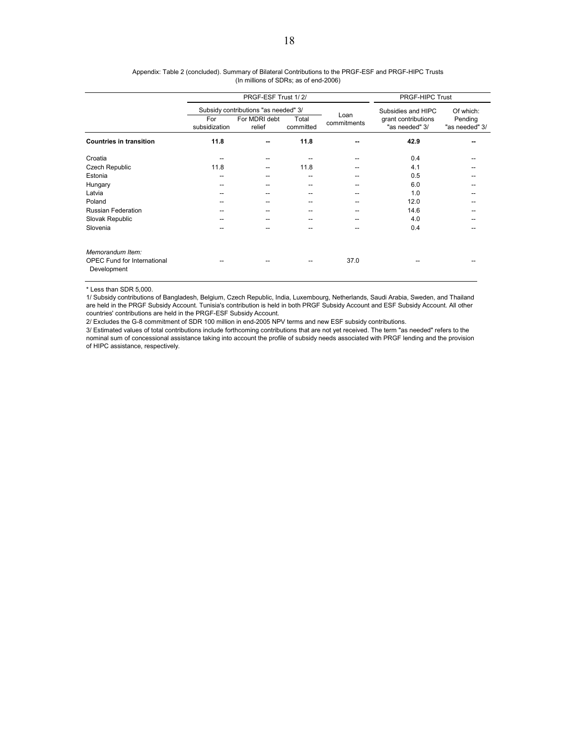|                                                                       |                      | PRGF-ESF Trust 1/2/                  | PRGF-HIPC Trust                       |                     |                                       |                                        |
|-----------------------------------------------------------------------|----------------------|--------------------------------------|---------------------------------------|---------------------|---------------------------------------|----------------------------------------|
|                                                                       |                      | Subsidy contributions "as needed" 3/ |                                       |                     | Subsidies and HIPC                    | Of which:<br>Pending<br>"as needed" 3/ |
|                                                                       | For<br>subsidization | For MDRI debt<br>relief              | Total<br>committed                    | Loan<br>commitments | grant contributions<br>"as needed" 3/ |                                        |
| <b>Countries in transition</b>                                        | 11.8                 | --                                   | 11.8                                  |                     | 42.9                                  | --                                     |
| Croatia                                                               |                      | --                                   |                                       |                     | 0.4                                   |                                        |
| Czech Republic                                                        | 11.8                 | --                                   | 11.8                                  |                     | 4.1                                   |                                        |
| Estonia                                                               | --                   | --                                   | $-$                                   |                     | 0.5                                   |                                        |
| Hungary                                                               |                      |                                      | $-$                                   |                     | 6.0                                   |                                        |
| Latvia                                                                | --                   | --                                   | $\hspace{0.05cm}$ – $\hspace{0.05cm}$ |                     | 1.0                                   |                                        |
| Poland                                                                |                      |                                      | $-$                                   |                     | 12.0                                  |                                        |
| <b>Russian Federation</b>                                             | --                   |                                      | $-$                                   |                     | 14.6                                  |                                        |
| Slovak Republic                                                       |                      |                                      | $-$                                   |                     | 4.0                                   |                                        |
| Slovenia                                                              |                      |                                      |                                       |                     | 0.4                                   |                                        |
| Memorandum Item:<br><b>OPEC Fund for International</b><br>Development |                      |                                      |                                       | 37.0                |                                       |                                        |

| Appendix: Table 2 (concluded). Summary of Bilateral Contributions to the PRGF-ESF and PRGF-HIPC Trusts |  |
|--------------------------------------------------------------------------------------------------------|--|
| (In millions of SDRs; as of end-2006)                                                                  |  |

\* Less than SDR 5,000.

1/ Subsidy contributions of Bangladesh, Belgium, Czech Republic, India, Luxembourg, Netherlands, Saudi Arabia, Sweden, and Thailand are held in the PRGF Subsidy Account. Tunisia's contribution is held in both PRGF Subsidy Account and ESF Subsidy Account. All other countries' contributions are held in the PRGF-ESF Subsidy Account.

2/ Excludes the G-8 commitment of SDR 100 million in end-2005 NPV terms and new ESF subsidy contributions.

3/ Estimated values of total contributions include forthcoming contributions that are not yet received. The term "as needed" refers to the nominal sum of concessional assistance taking into account the profile of subsidy needs associated with PRGF lending and the provision of HIPC assistance, respectively.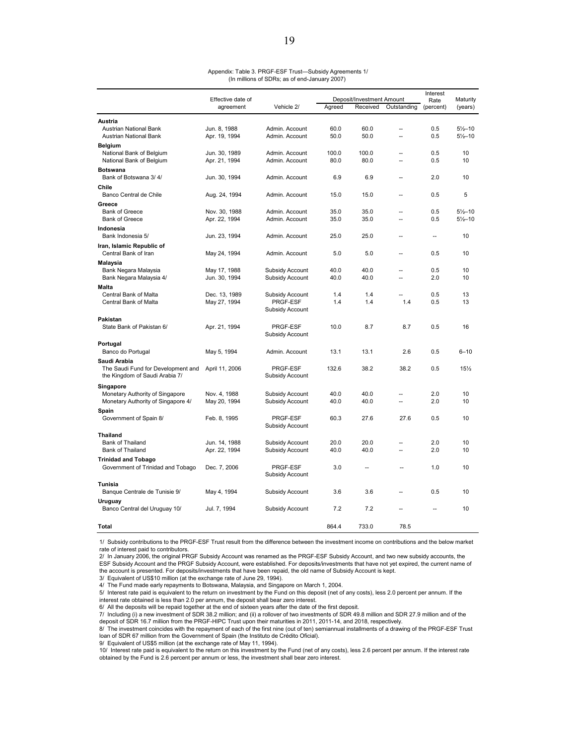|                                    | Effective date of |                 |        | Deposit/Investment Amount | Interest<br>Rate         | Maturity  |                     |
|------------------------------------|-------------------|-----------------|--------|---------------------------|--------------------------|-----------|---------------------|
|                                    | agreement         | Vehicle 2/      | Agreed | Received                  | Outstanding              | (percent) | (years)             |
|                                    |                   |                 |        |                           |                          |           |                     |
| Austria                            |                   |                 |        |                           |                          |           |                     |
| <b>Austrian National Bank</b>      | Jun. 8, 1988      | Admin, Account  | 60.0   | 60.0                      | $\overline{a}$           | 0.5       | $5\frac{1}{2} - 10$ |
| Austrian National Bank             | Apr. 19, 1994     | Admin. Account  | 50.0   | 50.0                      | ă.                       | 0.5       | $5\frac{1}{2} - 10$ |
| <b>Belgium</b>                     |                   |                 |        |                           |                          |           |                     |
| National Bank of Belgium           | Jun. 30, 1989     | Admin, Account  | 100.0  | 100.0                     | $\overline{a}$           | 0.5       | 10                  |
| National Bank of Belgium           | Apr. 21, 1994     | Admin. Account  | 80.0   | 80.0                      | ä.                       | 0.5       | 10                  |
| Botswana                           |                   |                 |        |                           |                          |           |                     |
| Bank of Botswana 3/4/              | Jun. 30, 1994     | Admin. Account  | 6.9    | 6.9                       | Ξ.                       | 2.0       | 10                  |
| Chile                              |                   |                 |        |                           |                          |           |                     |
| Banco Central de Chile             | Aug. 24, 1994     | Admin. Account  | 15.0   | 15.0                      | $\overline{a}$           | 0.5       | 5                   |
|                                    |                   |                 |        |                           |                          |           |                     |
| Greece                             |                   |                 |        |                           |                          |           |                     |
| <b>Bank of Greece</b>              | Nov. 30, 1988     | Admin, Account  | 35.0   | 35.0                      | ц.                       | 0.5       | $5\frac{1}{2}$ -10  |
| <b>Bank of Greece</b>              | Apr. 22, 1994     | Admin. Account  | 35.0   | 35.0                      | Ξ.                       | 0.5       | $5\frac{1}{2} - 10$ |
| Indonesia                          |                   |                 |        |                           |                          |           |                     |
| Bank Indonesia 5/                  | Jun. 23, 1994     | Admin. Account  | 25.0   | 25.0                      | Ξ.                       | <u></u>   | 10                  |
| Iran, Islamic Republic of          |                   |                 |        |                           |                          |           |                     |
| Central Bank of Iran               | May 24, 1994      | Admin. Account  | 5.0    | 5.0                       | $\overline{a}$           | 0.5       | 10                  |
| Malaysia                           |                   |                 |        |                           |                          |           |                     |
| Bank Negara Malaysia               | May 17, 1988      | Subsidy Account | 40.0   | 40.0                      |                          | 0.5       | 10                  |
| Bank Negara Malaysia 4/            | Jun. 30, 1994     | Subsidy Account | 40.0   | 40.0                      | --                       | 2.0       | 10                  |
| Malta                              |                   |                 |        |                           |                          |           |                     |
| Central Bank of Malta              | Dec. 13, 1989     | Subsidy Account | 1.4    | 1.4                       |                          | 0.5       | 13                  |
| Central Bank of Malta              |                   | PRGF-ESF        | 1.4    | 1.4                       | 1.4                      | 0.5       | 13                  |
|                                    | May 27, 1994      | Subsidy Account |        |                           |                          |           |                     |
|                                    |                   |                 |        |                           |                          |           |                     |
| Pakistan                           |                   |                 |        |                           |                          |           |                     |
| State Bank of Pakistan 6/          | Apr. 21, 1994     | PRGF-ESF        | 10.0   | 8.7                       | 8.7                      | 0.5       | 16                  |
|                                    |                   | Subsidy Account |        |                           |                          |           |                     |
| Portugal                           |                   |                 |        |                           |                          |           |                     |
| Banco do Portugal                  | May 5, 1994       | Admin. Account  | 13.1   | 13.1                      | 2.6                      | 0.5       | $6 - 10$            |
| Saudi Arabia                       |                   |                 |        |                           |                          |           |                     |
| The Saudi Fund for Development and | April 11, 2006    | PRGF-ESF        | 132.6  | 38.2                      | 38.2                     | 0.5       | 15%                 |
| the Kingdom of Saudi Arabia 7/     |                   | Subsidy Account |        |                           |                          |           |                     |
| Singapore                          |                   |                 |        |                           |                          |           |                     |
| Monetary Authority of Singapore    | Nov. 4, 1988      | Subsidy Account | 40.0   | 40.0                      | $\overline{a}$           | 2.0       | 10                  |
| Monetary Authority of Singapore 4/ | May 20, 1994      | Subsidy Account | 40.0   | 40.0                      | $\overline{a}$           | 2.0       | 10                  |
|                                    |                   |                 |        |                           |                          |           |                     |
| Spain<br>Government of Spain 8/    | Feb. 8, 1995      | PRGF-ESF        | 60.3   | 27.6                      | 27.6                     | 0.5       | 10                  |
|                                    |                   | Subsidy Account |        |                           |                          |           |                     |
|                                    |                   |                 |        |                           |                          |           |                     |
| <b>Thailand</b>                    |                   |                 |        |                           |                          |           |                     |
| Bank of Thailand                   | Jun. 14, 1988     | Subsidy Account | 20.0   | 20.0<br>40.0              |                          | 2.0       | 10<br>10            |
| Bank of Thailand                   | Apr. 22, 1994     | Subsidy Account | 40.0   |                           | --                       | 2.0       |                     |
| <b>Trinidad and Tobago</b>         |                   |                 |        |                           |                          |           |                     |
| Government of Trinidad and Tobago  | Dec. 7, 2006      | PRGF-ESF        | 3.0    | --                        |                          | 1.0       | 10                  |
|                                    |                   | Subsidy Account |        |                           |                          |           |                     |
| Tunisia                            |                   |                 |        |                           |                          |           |                     |
| Banque Centrale de Tunisie 9/      | May 4, 1994       | Subsidy Account | 3.6    | 3.6                       | $\overline{\phantom{a}}$ | 0.5       | 10                  |
| Uruguay                            |                   |                 |        |                           |                          |           |                     |
| Banco Central del Uruguay 10/      | Jul. 7, 1994      | Subsidy Account | 7.2    | 7.2                       |                          |           | 10                  |
|                                    |                   |                 |        |                           |                          |           |                     |
| Total                              |                   |                 | 864.4  | 733.0                     | 78.5                     |           |                     |

Appendix: Table 3. PRGF-ESF Trust—Subsidy Agreements 1/ (In millions of SDRs; as of end-January 2007)

1/ Subsidy contributions to the PRGF-ESF Trust result from the difference between the investment income on contributions and the below market rate of interest paid to contributors.

2/ In January 2006, the original PRGF Subsidy Account was renamed as the PRGF-ESF Subsidy Account, and two new subsidy accounts, the ESF Subsidy Account and the PRGF Subsidy Account, were established. For deposits/investments that have not yet expired, the current name of the account is presented. For deposits/investments that have been repaid, the old name of Subsidy Account is kept.

3/ Equivalent of US\$10 million (at the exchange rate of June 29, 1994).

4/ The Fund made early repayments to Botswana, Malaysia, and Singapore on March 1, 2004.

5/ Interest rate paid is equivalent to the return on investment by the Fund on this deposit (net of any costs), less 2.0 percent per annum. If the interest rate obtained is less than 2.0 per annum, the deposit shall bear zero interest.

6/ All the deposits will be repaid together at the end of sixteen years after the date of the first deposit.

7/ Including (i) a new investment of SDR 38.2 million; and (ii) a rollover of two investments of SDR 49.8 million and SDR 27.9 million and of the deposit of SDR 16.7 million from the PRGF-HIPC Trust upon their maturities in 2011, 2011-14, and 2018, respectively.

8/ The investment coincides with the repayment of each of the first nine (out of ten) semiannual installments of a drawing of the PRGF-ESF Trust loan of SDR 67 million from the Government of Spain (the Instituto de Crédito Oficial).

9/ Equivalent of US\$5 million (at the exchange rate of May 11, 1994).

10/ Interest rate paid is equivalent to the return on this investment by the Fund (net of any costs), less 2.6 percent per annum. If the interest rate obtained by the Fund is 2.6 percent per annum or less, the investment shall bear zero interest.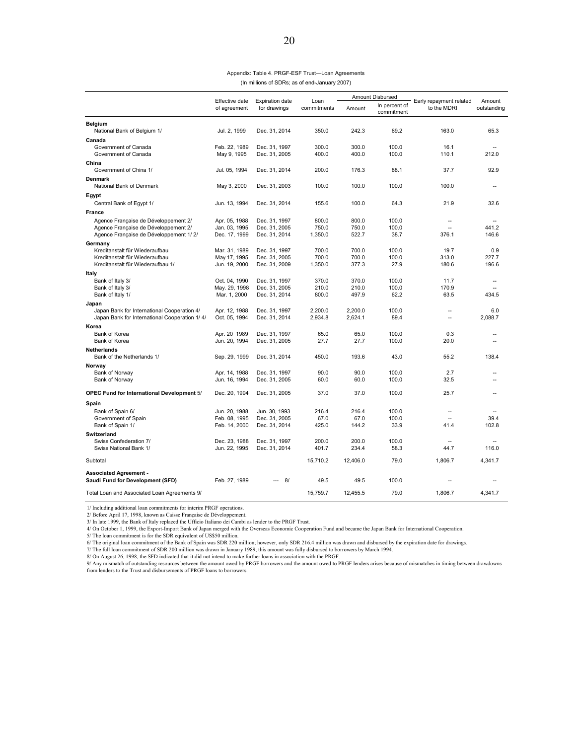#### Appendix: Table 4. PRGF-ESF Trust—Loan Agreements (In millions of SDRs; as of end-January 2007)

|                                                                   | Effective date                | <b>Expiration date</b>         | Loan           | Amount Disbursed |                             |                                        | Amount         |
|-------------------------------------------------------------------|-------------------------------|--------------------------------|----------------|------------------|-----------------------------|----------------------------------------|----------------|
|                                                                   | of agreement                  | for drawings                   | commitments    | Amount           | In percent of<br>commitment | Early repayment related<br>to the MDRI | outstanding    |
| <b>Belgium</b><br>National Bank of Belgium 1/                     | Jul. 2, 1999                  | Dec. 31, 2014                  | 350.0          | 242.3            | 69.2                        | 163.0                                  | 65.3           |
| Canada                                                            |                               |                                |                |                  |                             |                                        |                |
| Government of Canada                                              | Feb. 22, 1989                 | Dec. 31, 1997                  | 300.0          | 300.0            | 100.0                       | 16.1                                   |                |
| Government of Canada                                              | May 9, 1995                   | Dec. 31, 2005                  | 400.0          | 400.0            | 100.0                       | 110.1                                  | 212.0          |
| China                                                             |                               |                                |                |                  |                             |                                        |                |
| Government of China 1/                                            | Jul. 05, 1994                 | Dec. 31, 2014                  | 200.0          | 176.3            | 88.1                        | 37.7                                   | 92.9           |
| <b>Denmark</b><br>National Bank of Denmark                        | May 3, 2000                   | Dec. 31, 2003                  | 100.0          | 100.0            | 100.0                       | 100.0                                  | $\sim$         |
| Egypt                                                             |                               |                                |                |                  |                             |                                        |                |
| Central Bank of Egypt 1/                                          | Jun. 13, 1994                 | Dec. 31, 2014                  | 155.6          | 100.0            | 64.3                        | 21.9                                   | 32.6           |
| France                                                            |                               |                                |                |                  |                             |                                        |                |
| Agence Française de Développement 2/                              | Apr. 05, 1988                 | Dec. 31, 1997                  | 800.0          | 800.0            | 100.0                       | $\sim$                                 |                |
| Agence Française de Développement 2/                              | Jan. 03, 1995                 | Dec. 31, 2005                  | 750.0          | 750.0            | 100.0                       | з.                                     | 441.2          |
| Agence Française de Développement 1/2/                            | Dec. 17, 1999                 | Dec. 31, 2014                  | 1,350.0        | 522.7            | 38.7                        | 376.1                                  | 146.6          |
| Germany                                                           |                               |                                |                |                  |                             |                                        |                |
| Kreditanstalt für Wiederaufbau<br>Kreditanstalt für Wiederaufbau  | Mar. 31, 1989<br>May 17, 1995 | Dec. 31, 1997<br>Dec. 31, 2005 | 700.0<br>700.0 | 700.0<br>700.0   | 100.0<br>100.0              | 19.7<br>313.0                          | 0.9<br>227.7   |
| Kreditanstalt für Wiederaufbau 1/                                 | Jun. 19, 2000                 | Dec. 31, 2009                  | 1,350.0        | 377.3            | 27.9                        | 180.6                                  | 196.6          |
| Italy                                                             |                               |                                |                |                  |                             |                                        |                |
| Bank of Italy 3/                                                  | Oct. 04, 1990                 | Dec. 31, 1997                  | 370.0          | 370.0            | 100.0                       | 11.7                                   | $\sim$         |
| Bank of Italy 3/                                                  | May. 29, 1998                 | Dec. 31, 2005                  | 210.0          | 210.0            | 100.0                       | 170.9                                  | $\overline{a}$ |
| Bank of Italy 1/                                                  | Mar. 1, 2000                  | Dec. 31, 2014                  | 800.0          | 497.9            | 62.2                        | 63.5                                   | 434.5          |
| Japan                                                             |                               |                                |                |                  |                             |                                        |                |
| Japan Bank for International Cooperation 4/                       | Apr. 12, 1988                 | Dec. 31, 1997                  | 2,200.0        | 2,200.0          | 100.0                       |                                        | 6.0            |
| Japan Bank for International Cooperation 1/4/                     | Oct. 05, 1994                 | Dec. 31, 2014                  | 2,934.8        | 2,624.1          | 89.4                        | $\overline{a}$                         | 2,088.7        |
| Korea                                                             |                               |                                |                |                  |                             |                                        |                |
| Bank of Korea<br>Bank of Korea                                    | Apr. 20 1989<br>Jun. 20, 1994 | Dec. 31, 1997<br>Dec. 31, 2005 | 65.0<br>27.7   | 65.0<br>27.7     | 100.0<br>100.0              | 0.3<br>20.0                            | $\sim$<br>ц,   |
| <b>Netherlands</b>                                                |                               |                                |                |                  |                             |                                        |                |
| Bank of the Netherlands 1/                                        | Sep. 29, 1999                 | Dec. 31, 2014                  | 450.0          | 193.6            | 43.0                        | 55.2                                   | 138.4          |
| Norway                                                            |                               |                                |                |                  |                             |                                        |                |
| Bank of Norway                                                    | Apr. 14, 1988                 | Dec. 31, 1997                  | 90.0           | 90.0             | 100.0                       | 2.7                                    |                |
| Bank of Norway                                                    | Jun. 16, 1994                 | Dec. 31, 2005                  | 60.0           | 60.0             | 100.0                       | 32.5                                   |                |
| <b>OPEC Fund for International Development 5/</b>                 | Dec. 20, 1994                 | Dec. 31, 2005                  | 37.0           | 37.0             | 100.0                       | 25.7                                   | ٠.             |
| Spain                                                             |                               |                                |                |                  |                             |                                        |                |
| Bank of Spain 6/                                                  | Jun. 20, 1988                 | Jun. 30, 1993                  | 216.4          | 216.4            | 100.0                       | $\overline{a}$                         | $\sim$         |
| Government of Spain                                               | Feb. 08, 1995                 | Dec. 31, 2005                  | 67.0           | 67.0             | 100.0                       | $\sim$                                 | 39.4           |
| Bank of Spain 1/                                                  | Feb. 14, 2000                 | Dec. 31, 2014                  | 425.0          | 144.2            | 33.9                        | 41.4                                   | 102.8          |
| <b>Switzerland</b>                                                |                               |                                |                |                  |                             |                                        |                |
| Swiss Confederation 7/                                            | Dec. 23, 1988                 | Dec. 31, 1997                  | 200.0<br>401.7 | 200.0            | 100.0                       | $\sim$                                 |                |
| Swiss National Bank 1/                                            | Jun. 22, 1995                 | Dec. 31, 2014                  |                | 234.4            | 58.3                        | 44.7                                   | 116.0          |
| Subtotal                                                          |                               |                                | 15,710.2       | 12,406.0         | 79.0                        | 1,806.7                                | 4,341.7        |
| <b>Associated Agreement -</b><br>Saudi Fund for Development (SFD) | Feb. 27, 1989                 | 8/<br>---                      | 49.5           | 49.5             | 100.0                       | $\overline{\phantom{a}}$               |                |
| Total Loan and Associated Loan Agreements 9/                      |                               |                                | 15,759.7       | 12.455.5         | 79.0                        | 1,806.7                                | 4.341.7        |

1/ Including additional loan commitments for interim PRGF operations.

2/ Before April 17, 1998, known as Caisse Française de Développement.

3/ In late 1999, the Bank of Italy replaced the Ufficio Italiano dei Cambi as lender to the PRGF Trust.

4/ On October 1, 1999, the Export-Import Bank of Japan merged with the Overseas Economic Cooperation Fund and became the Japan Bank for International Cooperation.

5/ The loan commitment is for the SDR equivalent of US\$50 million.<br>6/ The original loan commitment of the Bank of Spain was SDR 220 million; however, only SDR 216.4 million was drawn and disbursed by the expiration date fo

9/ Any mismatch of outstanding resources between the amount owed by PRGF borrowers and the amount owed to PRGF lenders arises because of mismatches in timing between drawdowns from lenders to the Trust and disbursements of PRGF loans to borrowers.